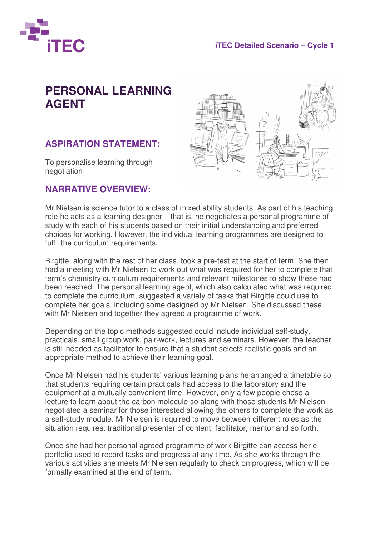

### **iTEC Detailed Scenario – Cycle 1**

# **PERSONAL LEARNING AGENT**

## **ASPIRATION STATEMENT:**

To personalise learning through negotiation

### **NARRATIVE OVERVIEW:**



Mr Nielsen is science tutor to a class of mixed ability students. As part of his teaching role he acts as a learning designer – that is, he negotiates a personal programme of study with each of his students based on their initial understanding and preferred choices for working. However, the individual learning programmes are designed to fulfil the curriculum requirements.

Birgitte, along with the rest of her class, took a pre-test at the start of term. She then had a meeting with Mr Nielsen to work out what was required for her to complete that term's chemistry curriculum requirements and relevant milestones to show these had been reached. The personal learning agent, which also calculated what was required to complete the curriculum, suggested a variety of tasks that Birgitte could use to complete her goals, including some designed by Mr Nielsen. She discussed these with Mr Nielsen and together they agreed a programme of work.

Depending on the topic methods suggested could include individual self-study, practicals, small group work, pair-work, lectures and seminars. However, the teacher is still needed as facilitator to ensure that a student selects realistic goals and an appropriate method to achieve their learning goal.

Once Mr Nielsen had his students' various learning plans he arranged a timetable so that students requiring certain practicals had access to the laboratory and the equipment at a mutually convenient time. However, only a few people chose a lecture to learn about the carbon molecule so along with those students Mr Nielsen negotiated a seminar for those interested allowing the others to complete the work as a self-study module. Mr Nielsen is required to move between different roles as the situation requires: traditional presenter of content, facilitator, mentor and so forth.

Once she had her personal agreed programme of work Birgitte can access her eportfolio used to record tasks and progress at any time. As she works through the various activities she meets Mr Nielsen regularly to check on progress, which will be formally examined at the end of term.